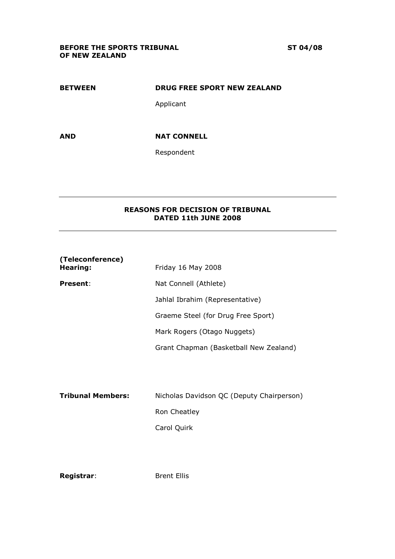# BEFORE THE SPORTS TRIBUNAL ST 04/08 OF NEW ZEALAND

# BETWEEN DRUG FREE SPORT NEW ZEALAND

Applicant

# AND NAT CONNELL

Respondent

# REASONS FOR DECISION OF TRIBUNAL DATED 11th JUNE 2008

| (Teleconference)<br>Hearing: | Friday 16 May 2008                        |
|------------------------------|-------------------------------------------|
| <b>Present:</b>              | Nat Connell (Athlete)                     |
|                              | Jahlal Ibrahim (Representative)           |
|                              | Graeme Steel (for Drug Free Sport)        |
|                              | Mark Rogers (Otago Nuggets)               |
|                              | Grant Chapman (Basketball New Zealand)    |
|                              |                                           |
|                              |                                           |
| <b>Tribunal Members:</b>     | Nicholas Davidson QC (Deputy Chairperson) |
|                              | Ron Cheatley                              |
|                              | Carol Quirk                               |
|                              |                                           |

Registrar: Brent Ellis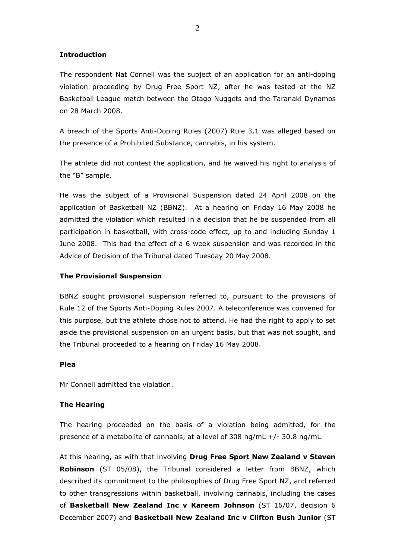## Introduction

The respondent Nat Connell was the subject of an application for an anti-doping violation proceeding by Drug Free Sport NZ, after he was tested at the NZ Basketball League match between the Otago Nuggets and the Taranaki Dynamos on 28 March 2008.

A breach of the Sports Anti-Doping Rules (2007) Rule 3.1 was alleged based on the presence of a Prohibited Substance, cannabis, in his system.

The athlete did not contest the application, and he waived his right to analysis of the "B" sample.

He was the subject of a Provisional Suspension dated 24 April 2008 on the application of Basketball NZ (BBNZ). At a hearing on Friday 16 May 2008 he admitted the violation which resulted in a decision that he be suspended from all participation in basketball, with cross-code effect, up to and including Sunday 1 June 2008. This had the effect of a 6 week suspension and was recorded in the Advice of Decision of the Tribunal dated Tuesday 20 May 2008.

#### The Provisional Suspension

BBNZ sought provisional suspension referred to, pursuant to the provisions of Rule 12 of the Sports Anti-Doping Rules 2007. A teleconference was convened for this purpose, but the athlete chose not to attend. He had the right to apply to set aside the provisional suspension on an urgent basis, but that was not sought, and the Tribunal proceeded to a hearing on Friday 16 May 2008.

### Plea

Mr Connell admitted the violation.

#### The Hearing

The hearing proceeded on the basis of a violation being admitted, for the presence of a metabolite of cannabis, at a level of 308 ng/mL +/- 30.8 ng/mL.

At this hearing, as with that involving Drug Free Sport New Zealand v Steven Robinson (ST 05/08), the Tribunal considered a letter from BBNZ, which described its commitment to the philosophies of Drug Free Sport NZ, and referred to other transgressions within basketball, involving cannabis, including the cases of Basketball New Zealand Inc v Kareem Johnson (ST 16/07, decision 6 December 2007) and Basketball New Zealand Inc v Clifton Bush Junior (ST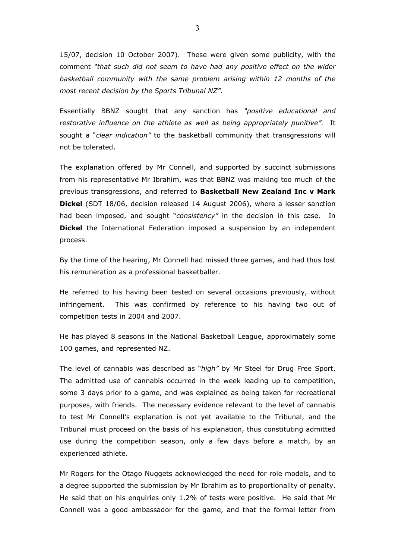15/07, decision 10 October 2007). These were given some publicity, with the comment "that such did not seem to have had any positive effect on the wider basketball community with the same problem arising within 12 months of the most recent decision by the Sports Tribunal NZ".

Essentially BBNZ sought that any sanction has "positive educational and restorative influence on the athlete as well as being appropriately punitive". It sought a "*clear indication"* to the basketball community that transgressions will not be tolerated.

The explanation offered by Mr Connell, and supported by succinct submissions from his representative Mr Ibrahim, was that BBNZ was making too much of the previous transgressions, and referred to Basketball New Zealand Inc v Mark Dickel (SDT 18/06, decision released 14 August 2006), where a lesser sanction had been imposed, and sought "consistency" in the decision in this case. In **Dickel** the International Federation imposed a suspension by an independent process.

By the time of the hearing, Mr Connell had missed three games, and had thus lost his remuneration as a professional basketballer.

He referred to his having been tested on several occasions previously, without infringement. This was confirmed by reference to his having two out of competition tests in 2004 and 2007.

He has played 8 seasons in the National Basketball League, approximately some 100 games, and represented NZ.

The level of cannabis was described as "high" by Mr Steel for Drug Free Sport. The admitted use of cannabis occurred in the week leading up to competition, some 3 days prior to a game, and was explained as being taken for recreational purposes, with friends. The necessary evidence relevant to the level of cannabis to test Mr Connell's explanation is not yet available to the Tribunal, and the Tribunal must proceed on the basis of his explanation, thus constituting admitted use during the competition season, only a few days before a match, by an experienced athlete.

Mr Rogers for the Otago Nuggets acknowledged the need for role models, and to a degree supported the submission by Mr Ibrahim as to proportionality of penalty. He said that on his enquiries only 1.2% of tests were positive. He said that Mr Connell was a good ambassador for the game, and that the formal letter from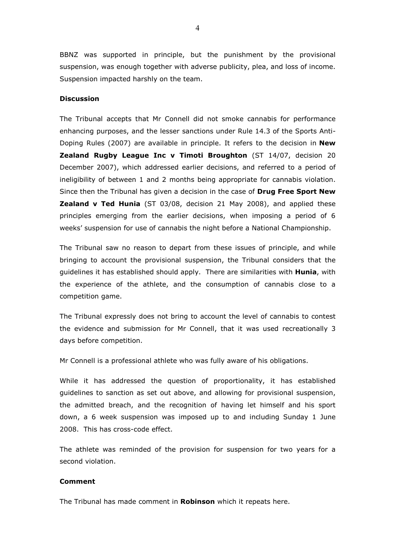BBNZ was supported in principle, but the punishment by the provisional suspension, was enough together with adverse publicity, plea, and loss of income. Suspension impacted harshly on the team.

### **Discussion**

The Tribunal accepts that Mr Connell did not smoke cannabis for performance enhancing purposes, and the lesser sanctions under Rule 14.3 of the Sports Anti-Doping Rules (2007) are available in principle. It refers to the decision in **New** Zealand Rugby League Inc v Timoti Broughton (ST 14/07, decision 20 December 2007), which addressed earlier decisions, and referred to a period of ineligibility of between 1 and 2 months being appropriate for cannabis violation. Since then the Tribunal has given a decision in the case of Drug Free Sport New **Zealand v Ted Hunia** (ST 03/08, decision 21 May 2008), and applied these principles emerging from the earlier decisions, when imposing a period of 6 weeks' suspension for use of cannabis the night before a National Championship.

The Tribunal saw no reason to depart from these issues of principle, and while bringing to account the provisional suspension, the Tribunal considers that the guidelines it has established should apply. There are similarities with Hunia, with the experience of the athlete, and the consumption of cannabis close to a competition game.

The Tribunal expressly does not bring to account the level of cannabis to contest the evidence and submission for Mr Connell, that it was used recreationally 3 days before competition.

Mr Connell is a professional athlete who was fully aware of his obligations.

While it has addressed the question of proportionality, it has established guidelines to sanction as set out above, and allowing for provisional suspension, the admitted breach, and the recognition of having let himself and his sport down, a 6 week suspension was imposed up to and including Sunday 1 June 2008. This has cross-code effect.

The athlete was reminded of the provision for suspension for two years for a second violation.

#### Comment

The Tribunal has made comment in **Robinson** which it repeats here.